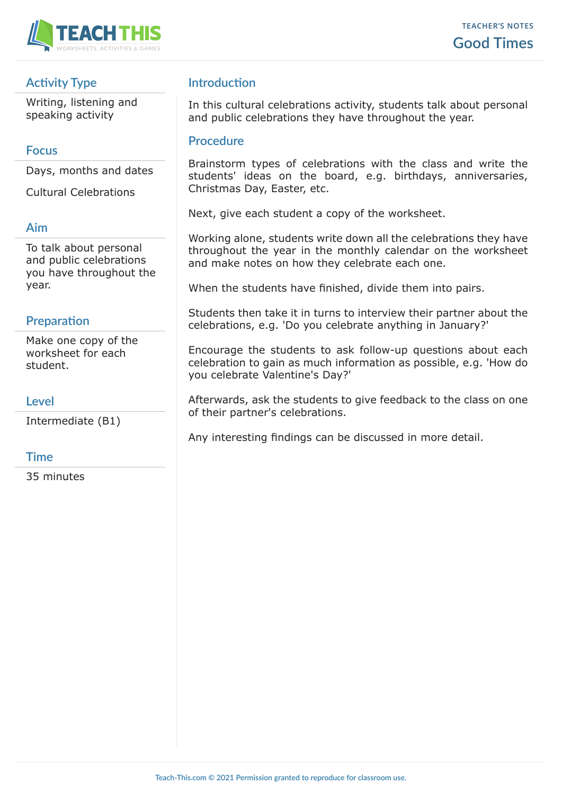

## **Activity Type**

Writing, listening and speaking activity

### **Focus**

Days, months and dates

Cultural Celebrations

#### **Aim**

To talk about personal and public celebrations you have throughout the year.

## **Preparation**

Make one copy of the worksheet for each student.

#### **Level**

Intermediate (B1)

#### **Time**

35 minutes

## **Introduction**

In this cultural celebrations activity, students talk about personal and public celebrations they have throughout the year.

#### **Procedure**

Brainstorm types of celebrations with the class and write the students' ideas on the board, e.g. birthdays, anniversaries, Christmas Day, Easter, etc.

Next, give each student a copy of the worksheet.

Working alone, students write down all the celebrations they have throughout the year in the monthly calendar on the worksheet and make notes on how they celebrate each one.

When the students have finished, divide them into pairs.

Students then take it in turns to interview their partner about the celebrations, e.g. 'Do you celebrate anything in January?'

Encourage the students to ask follow-up questions about each celebration to gain as much information as possible, e.g. 'How do you celebrate Valentine's Day?'

Afterwards, ask the students to give feedback to the class on one of their partner's celebrations.

Any interesting findings can be discussed in more detail.